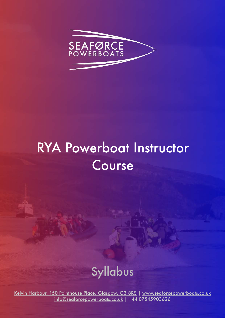

# RYA Powerboat Instructor Course

## Syllabus

[Kelvin Harbour, 150 Pointhouse Place, Glasgow, G3 8RS](https://g.page/SeaforcePowerboats?share) | [www.seaforcepowerboats.co.uk](http://www.seaforcepowerboats.co.uk) [info@seaforcepowerboats.co.uk](mailto:info@seaforcepowerboats.co.uk) | +44 07545903626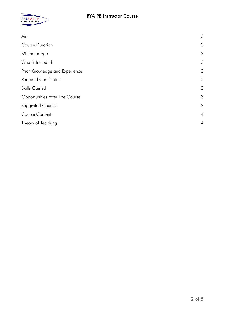

| Aim                            | 3              |
|--------------------------------|----------------|
| <b>Course Duration</b>         | 3              |
| Minimum Age                    | 3              |
| What's Included                | 3              |
| Prior Knowledge and Experience | 3              |
| <b>Required Certificates</b>   | 3              |
| <b>Skills Gained</b>           | 3              |
| Opportunities After The Course | 3              |
| <b>Suggested Courses</b>       | 3              |
| Course Content                 | $\overline{4}$ |
| Theory of Teaching             | $\overline{4}$ |
|                                |                |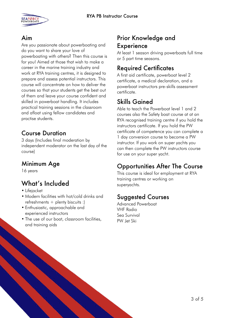

#### <span id="page-2-0"></span>Aim

Are you passionate about powerboating and do you want to share your love of powerboating with others? Then this course is for you! Aimed at those that wish to make a career in the marine training industry and work at RYA training centres, it is designed to prepare and assess potential instructors. This course will concentrate on how to deliver the courses so that your students get the best out of them and leave your course confident and skilled in powerboat handling. It includes practical training sessions in the classroom and afloat using fellow candidates and practise students.

#### <span id="page-2-1"></span>Course Duration

3 days (Includes final moderation by independent moderator on the last day of the course)

#### <span id="page-2-2"></span>Minimum Age

16 years

## <span id="page-2-3"></span>What's Included

- Lifejacket
- Modern facilities with hot/cold drinks and refreshments  $+$  plenty biscuits :)
- Enthusiastic, approachable and experienced instructors
- The use of our boat, classroom facilities, and training aids

#### <span id="page-2-4"></span>Prior Knowledge and **Experience**

At least 1 season driving powerboats full time or 5 part time seasons.

### <span id="page-2-5"></span>Required Certificates

A first aid certificate, powerboat level 2 certificate, a medical declaration, and a powerboat instructors pre-skills assessment certificate.

### <span id="page-2-6"></span>Skills Gained

Able to teach the Powerboat level 1 and 2 courses also the Safety boat course at at an RYA recognised training centre if you hold the instructors certificate. If you hold the PW certificate of competence you can complete a 1 day conversion course to become a PW instructor. If you work on super yachts you can then complete the PW instructors course for use on your super yacht.

### <span id="page-2-7"></span>Opportunities After The Course

This course is ideal for employment at RYA training centres or working on superyachts.

#### <span id="page-2-8"></span>Suggested Courses

Advanced Powerboat VHF Radio Sea Survival PW Jet Ski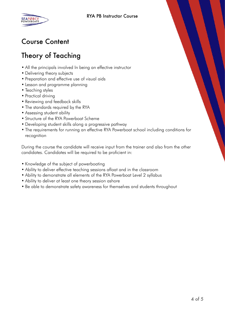

## <span id="page-3-0"></span>Course Content

## <span id="page-3-1"></span>Theory of Teaching

- All the principals involved In being an effective instructor
- Delivering theory subjects
- Preparation and effective use of visual aids
- Lesson and programme planning
- Teaching styles
- Practical driving
- Reviewing and feedback skills
- The standards required by the RYA
- Assessing student ability
- Structure of the RYA Powerboat Scheme
- Developing student skills along a progressive pathway
- The requirements for running an effective RYA Powerboat school including conditions for recognition

During the course the candidate will receive input from the trainer and also from the other candidates. Candidates will be required to be proficient in:

- Knowledge of the subject of powerboating
- Ability to deliver effective teaching sessions afloat and in the classroom
- Ability to demonstrate all elements of the RYA Powerboat Level 2 syllabus
- Ability to deliver at least one theory session ashore
- Be able to demonstrate safety awareness for themselves and students throughout